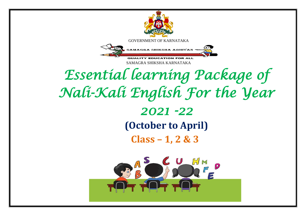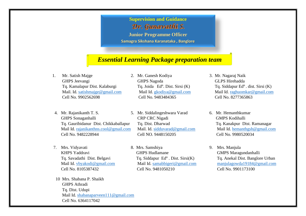### **Supervision and Guidance**

Dr. Gunavathi S.

**Junior Programme Officer**

**Samagra Sikshana Karanataka , Banglore**

## *Essential Learning Package preparation team*

- 1. Mr. Satish Majge 2. Mr. Ganesh Kodiya 3. Mr. Nagaraj Naik GHPS Jeevangi GHPS Nagoda GEPS Hirehadda Tq. Kamalapur Dist. Kalaburgi Tq. Joida Ed<sup>n</sup>. Dist. Sirsi (K) Cell No. 9902562698 Cell No. 9483484365 Cell No. 8277365863
- 4. Mr. Rajanikanth T. S. 5. Mr. Siddalingeshwara Varad 6. Mr. Hemanthkumar GHPS Sonaganhalli CRP CRC Nigadi GMPS Kodihalli Tq. Gauribidanur Dist. Chikkaballapur Tq. Dist. Dharwad Tq. Kanakpur Dist. Ramanagar Mail Id. [rajanikanthns.cool@gmail.com](mailto:rajanikanthns.cool@gmail.com) Mail. Id. [sidduvarad@gmail.com](mailto:sidduvarad@gmail.com) Mail Id. [hemanthgsh@gmail.com](mailto:hemanthgsh@gmail.com) Cell No. 9482228944 Cell NO. 9448150205 Cell No. 9980520034
- Tq. Savadathi Dist. Belgavi
- 10 Mrs. Shabana P. Shaikh GHPS Athradi Tq. Dist. Udupi Mail Id. [shabanaparveen111@gmail.com](mailto:shabanaparveen111@gmail.com) Cell No. 6364117042
- 
- 
- 7. Mrs. Vidyavati 8. Mrs. Samshiya 9. Mrs. Manjula KHPS Yaddravi GHPS Hudlamane GHPS Hudlamane GMPS Maragundanhalli Tq. Siddapur  $Ed<sup>n</sup>$ . Dist. Sirsi $(K)$ Cell No. 8105387432 Cell No. 9481050210 Cell No. 9901173100
- Tq. Siddapur  $Ed<sup>n</sup>$ . dist. Sirsi  $(K)$  Mail. Id. [satishmajge@gmail.com](mailto:satishmajge@gmail.com) Mail Id. [gkodiya@gmail.com](mailto:gkodiya@gmail.com) Mail Id. [raghuomkar@gmail.com](mailto:raghuomkar@gmail.com)
	-
- Tq. Anekal Dist. Banglore Urban Mail Id. [vbyakodi@gmail.com](mailto:vbyakodi@gmail.com) Mail Id. [samabbigeri@gmail.com](mailto:samabbigeri@gmail.com) [manjulagowda19184@gmail.com](mailto:manjulagowda19184@gmail.com)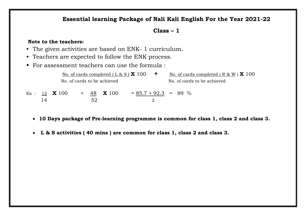#### **Essential learning Package of Nali Kali English For the Year 2021-22**

#### **Class – 1**

#### **Note to the teachers:**

- The given activities are based on ENK- 1 curriculum.
- Teachers are expected to follow the ENK process.
- For assessment teachers can use the formula :

|     |                        |     |    |                             | No. of cards completed $(L & S) X 100$<br>$\mathbf +$ | No. of cards completed $(R & W) \times 100$ |
|-----|------------------------|-----|----|-----------------------------|-------------------------------------------------------|---------------------------------------------|
|     |                        |     |    | No. of cards to be achieved |                                                       | No. of cards to be achieved                 |
|     | Ex : $12$ <b>X</b> 100 | $+$ |    | 48 X 100                    | $= 85.7 + 92.3 = 89\%$                                |                                             |
| l 4 |                        |     | 59 |                             |                                                       |                                             |

- **10 Days package of Pre-learning programme is common for class 1, class 2 and class 3.**
- **L & S activities ( 40 mins ) are common for class 1, class 2 and class 3.**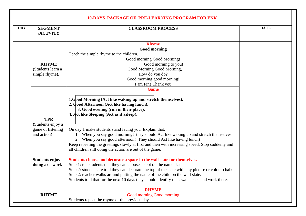| <b>DAY</b> | <b>SEGMENT</b><br>/ACTVITY                                          | <b>CLASSROOM PROCESS</b>                                                                                                                                                                                                                                                                                                                                                                                                                                                                                                                                                              | <b>DATE</b> |
|------------|---------------------------------------------------------------------|---------------------------------------------------------------------------------------------------------------------------------------------------------------------------------------------------------------------------------------------------------------------------------------------------------------------------------------------------------------------------------------------------------------------------------------------------------------------------------------------------------------------------------------------------------------------------------------|-------------|
|            |                                                                     | <b>Rhyme</b>                                                                                                                                                                                                                                                                                                                                                                                                                                                                                                                                                                          |             |
|            |                                                                     | <b>Good morning</b>                                                                                                                                                                                                                                                                                                                                                                                                                                                                                                                                                                   |             |
|            |                                                                     | Teach the simple rhyme to the children.                                                                                                                                                                                                                                                                                                                                                                                                                                                                                                                                               |             |
|            |                                                                     | Good morning Good Morning!                                                                                                                                                                                                                                                                                                                                                                                                                                                                                                                                                            |             |
|            | <b>RHYME</b>                                                        | Good morning to you!                                                                                                                                                                                                                                                                                                                                                                                                                                                                                                                                                                  |             |
|            | (Students learn a                                                   | Good Morning Good Morning,                                                                                                                                                                                                                                                                                                                                                                                                                                                                                                                                                            |             |
|            | simple rhyme).                                                      | How do you do?                                                                                                                                                                                                                                                                                                                                                                                                                                                                                                                                                                        |             |
| 1          |                                                                     | Good morning good morning!<br>I am Fine Thank you                                                                                                                                                                                                                                                                                                                                                                                                                                                                                                                                     |             |
|            |                                                                     | <b>Game</b>                                                                                                                                                                                                                                                                                                                                                                                                                                                                                                                                                                           |             |
|            | <b>TPR</b><br>(Students enjoy a<br>game of listening<br>and action) | 1.Good Morning (Act like waking up and stretch themselves).<br>2. Good Afternoon (Act like having lunch).<br>3. Good evening (run in their place).<br>4. Act like Sleeping (Act as if as leep).<br>On day 1 make students stand facing you. Explain that:<br>1. When you say good morning! they should Act like waking up and stretch themselves.<br>2. When you say good afternoon! They should Act like having lunch)<br>Keep repeating the greetings slowly at first and then with increasing speed. Stop suddenly and<br>all children still doing the action are out of the game. |             |
|            | <b>Students enjoy</b><br>doing art-work                             |                                                                                                                                                                                                                                                                                                                                                                                                                                                                                                                                                                                       |             |
|            | <b>RHYME</b>                                                        | <b>RHYME</b><br>Good morning Good morning<br>Students repeat the rhyme of the previous day                                                                                                                                                                                                                                                                                                                                                                                                                                                                                            |             |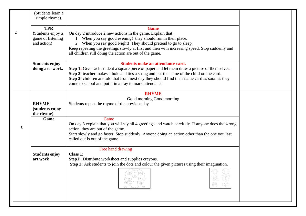|   | (Students learn a<br>simple rhyme).                                 |                                                                                                                                                                                                                                                                                                                                                                                            |  |
|---|---------------------------------------------------------------------|--------------------------------------------------------------------------------------------------------------------------------------------------------------------------------------------------------------------------------------------------------------------------------------------------------------------------------------------------------------------------------------------|--|
| 2 | <b>TPR</b><br>(Students enjoy a<br>game of listening<br>and action) | <b>Game</b><br>On day 2 introduce 2 new actions in the game. Explain that:<br>1. When you say good evening! they should run in their place.<br>2. When you say good Night! They should pretend to go to sleep.<br>Keep repeating the greetings slowly at first and then with increasing speed. Stop suddenly and<br>all children still doing the action are out of the game.               |  |
|   | <b>Students enjoy</b><br>doing art-work.                            | Students make an attendance card.<br>Step 1: Give each student a square piece of paper and let them draw a picture of themselves.<br>Step 2: teacher makes a hole and ties a string and put the name of the child on the card.<br>Step 3: children are told that from next day they should find their name card as soon as they<br>come to school and put it in a tray to mark attendance. |  |
|   | <b>RHYME</b><br>(students enjoy<br>the rhyme)                       | <b>RHYME</b><br>Good morning Good morning<br>Students repeat the rhyme of the previous day                                                                                                                                                                                                                                                                                                 |  |
| 3 | Game                                                                | Game<br>On day 3 explain that you will say all 4 greetings and watch carefully. If anyone does the wrong<br>action, they are out of the game.<br>Start slowly and go faster. Stop suddenly. Anyone doing an action other than the one you last<br>called out is out of the game.                                                                                                           |  |
|   | <b>Students enjoy</b><br>art work                                   | Free hand drawing<br><b>Class 1:</b><br>Step1: Distribute worksheet and supplies crayons.<br>Step 2: Ask students to join the dots and colour the given pictures using their imagination.<br>98<br>-99                                                                                                                                                                                     |  |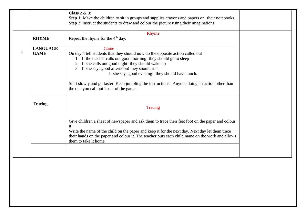|   |                                | Class $2 \& 3$ :<br>Step 1: Make the children to sit in groups and supplies crayons and papers or their notebooks.<br>Step 2: instruct the students to draw and colour the picture using their imaginations.                                                                                                                         |  |
|---|--------------------------------|--------------------------------------------------------------------------------------------------------------------------------------------------------------------------------------------------------------------------------------------------------------------------------------------------------------------------------------|--|
|   | <b>RHYME</b>                   | Rhyme<br>Repeat the rhyme for the 4 <sup>th</sup> day.                                                                                                                                                                                                                                                                               |  |
| 4 | <b>LANGUAGE</b><br><b>GAME</b> | Game<br>On day 4 tell students that they should now do the opposite action called out<br>1. If the teacher calls out good morning! they should go to sleep<br>2. If she calls out good night! they should wake up<br>3. If she says good afternoon! they should run<br>If she says good evening! they should have lunch.             |  |
|   |                                | Start slowly and go faster. Keep jumbling the instructions. Anyone doing an action other than<br>the one you call out is out of the game.                                                                                                                                                                                            |  |
|   | <b>Tracing</b>                 | Tracing                                                                                                                                                                                                                                                                                                                              |  |
|   |                                | Give children a sheet of newspaper and ask them to trace their feet foot on the paper and colour<br>it.<br>Write the name of the child on the paper and keep it for the next day. Next day let them trace<br>their hands on the paper and colour it. The teacher puts each child name on the work and allows<br>them to take it home |  |
|   |                                |                                                                                                                                                                                                                                                                                                                                      |  |
|   |                                |                                                                                                                                                                                                                                                                                                                                      |  |
|   |                                |                                                                                                                                                                                                                                                                                                                                      |  |
|   |                                |                                                                                                                                                                                                                                                                                                                                      |  |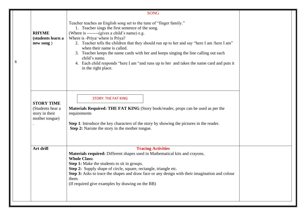|   |                                                                           | <b>SONG</b>                                                                                                                                                                                                                                                                                                                                                                                                                                                                                                                                                           |  |
|---|---------------------------------------------------------------------------|-----------------------------------------------------------------------------------------------------------------------------------------------------------------------------------------------------------------------------------------------------------------------------------------------------------------------------------------------------------------------------------------------------------------------------------------------------------------------------------------------------------------------------------------------------------------------|--|
| 6 | <b>RHYME</b><br>(students learn a<br>new song)                            | Teacher teaches an English song set to the tune of "finger family."<br>1. Teacher sings the first sentence of the song.<br>(Where is -------(gives a child's name) e.g.<br>Where is -Priya/ where is Priya?<br>2. Teacher tells the children that they should run up to her and say "here I am /here I am"<br>when their name is called.<br>3. Teacher keeps the name cards with her and keeps singing the line calling out each<br>child's name.<br>4. Each child responds "here I am "and runs up to her and takes the name card and puts it<br>in the right place. |  |
|   | <b>STORY TIME</b><br>(Students hear a<br>story in their<br>mother tongue) | <b>STORY: THE FAT KING</b><br>Materials Required: THE FAT KING (Story book/reader, props can be used as per the<br>requirements<br>Step 1: Introduce the key characters of the story by showing the pictures in the reader.<br><b>Step 2:</b> Narrate the story in the mother tongue.                                                                                                                                                                                                                                                                                 |  |
|   | Art drill                                                                 | <b>Tracing Activities</b><br>Materials required: Different shapes used in Mathematical kits and crayons.<br><b>Whole Class:</b><br><b>Step 1:</b> Make the students to sit in groups.<br>Step 2: Supply shape of circle, square, rectangle, triangle etc.<br>Step 3: Asks to trace the shapes and draw face or any design with their imagination and colour<br>them.<br>(If required give examples by drawing on the BB)                                                                                                                                              |  |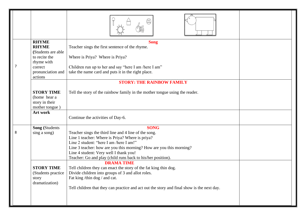| 7 | <b>RHYME</b><br><b>RHYME</b><br>(Students are able<br>to recite the<br>rhyme with<br>correct<br>pronunciation and<br>actions | <b>Song</b><br>Teacher sings the first sentence of the rhyme.<br>Where is Priya? Where is Priya?<br>Children run up to her and say "here I am /here I am"<br>take the name card and puts it in the right place.                                                                                                                                   |  |
|---|------------------------------------------------------------------------------------------------------------------------------|---------------------------------------------------------------------------------------------------------------------------------------------------------------------------------------------------------------------------------------------------------------------------------------------------------------------------------------------------|--|
|   | <b>STORY TIME</b><br>(home hear a<br>story in their<br>mother tongue)                                                        | <b>STORY: THE RAINBOW FAMILY</b><br>Tell the story of the rainbow family in the mother tongue using the reader.                                                                                                                                                                                                                                   |  |
|   | Art work                                                                                                                     | Continue the activities of Day-6.                                                                                                                                                                                                                                                                                                                 |  |
| 8 | <b>Song (Students)</b><br>sing a song)                                                                                       | <b>SONG</b><br>Teacher sings the third line and 4 line of the song.<br>Line 1 teacher: Where is Priya? Where is priya?<br>Line 2 student: "here I am /here I am!"<br>Line 3 teacher: how are you this morning? How are you this morning?<br>Line 4 student: Very well I thank you!<br>Teacher: Go and play (child runs back to his/her position). |  |
|   | <b>STORY TIME</b><br>(Students practice)<br>story<br>dramatization)                                                          | <b>DRAMA TIME</b><br>Tell children they can enact the story of the fat king thin dog.<br>Divide children into groups of 3 and allot roles.<br>Fat king/thin dog/ and cat.<br>Tell children that they can practice and act out the story and final show is the next day.                                                                           |  |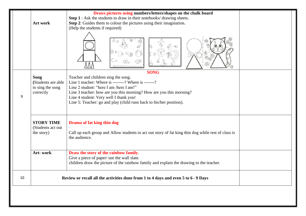|    |                                   | Draws pictures using numbers/letters/shapes on the chalk board                                                                        |  |
|----|-----------------------------------|---------------------------------------------------------------------------------------------------------------------------------------|--|
|    |                                   | Step 1 : Ask the students to draw in their notebooks/drawing sheets.                                                                  |  |
|    | Art work                          | Step 2: Guides them to colour the pictures using their imagination.                                                                   |  |
|    |                                   | (Help the students if required)                                                                                                       |  |
|    |                                   | 3                                                                                                                                     |  |
|    |                                   | <b>SONG</b>                                                                                                                           |  |
|    | <b>Song</b><br>(Students are able | Teacher and children sing the song.<br>Line 1 teacher: Where is -------? Where is -------?                                            |  |
|    | to sing the song                  | Line 2 student: "here I am /here I am!"                                                                                               |  |
|    | correctly                         | Line 3 teacher: how are you this morning? How are you this morning?                                                                   |  |
| 9  |                                   | Line 4 student: Very well I thank you!                                                                                                |  |
|    |                                   | Line 5: Teacher: go and play (child runs back to his/her position).                                                                   |  |
|    | <b>STORY TIME</b>                 | Drama of fat king thin dog                                                                                                            |  |
|    | (Students act out                 |                                                                                                                                       |  |
|    | the story)                        | Call up each group and Allow students to act out story of fat king thin dog while rest of class is<br>the audience.                   |  |
|    | Art-work                          | Draw the story of the rainbow family.                                                                                                 |  |
|    |                                   | Give a piece of paper/ use the wall slate.<br>children draw the picture of the rainbow family and explain the drawing to the teacher. |  |
| 10 |                                   | Review or recall all the activities done from 1 to 4 days and even 5 to 6 - 9 Days                                                    |  |
|    |                                   |                                                                                                                                       |  |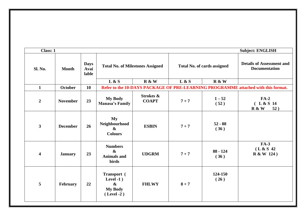| <b>Class: 1</b>         |                 |                              |                                                                                    |                                      |         |                    | <b>Subject: ENGLISH</b>                                                           |
|-------------------------|-----------------|------------------------------|------------------------------------------------------------------------------------|--------------------------------------|---------|--------------------|-----------------------------------------------------------------------------------|
| Sl. No.                 | <b>Month</b>    | <b>Days</b><br>Avai<br>lable | <b>Total No. of Milestones Assigned</b><br><b>Total No. of cards assigned</b>      |                                      |         |                    | <b>Details of Assessment and</b><br><b>Documentation</b>                          |
|                         |                 |                              | L & S                                                                              | R & W                                | L & S   | R & W              |                                                                                   |
| $\mathbf{1}$            | <b>October</b>  | 10                           |                                                                                    |                                      |         |                    | Refer to the 10-DAYS PACKAGE OF PRE-LEARNING PROGRAMME attached with this format. |
| $\overline{2}$          | <b>November</b> | 23                           | <b>My Body</b><br><b>Manasa's Family</b>                                           | <b>Strokes &amp;</b><br><b>COAPT</b> | $7 + 7$ | $1 - 52$<br>(52)   | $FA-2$<br>(L & S 14<br>R & W<br>52)                                               |
| $\mathbf{3}$            | <b>December</b> | 26                           | My<br>Neighbourhood<br>$\boldsymbol{\alpha}$<br><b>Colours</b>                     | <b>ESBIN</b>                         | $7 + 7$ | $52 - 88$<br>(36)  |                                                                                   |
| $\overline{\mathbf{4}}$ | <b>January</b>  | 23                           | <b>Numbers</b><br>$\boldsymbol{\alpha}$<br><b>Animals and</b><br><b>birds</b>      | <b>UDGRM</b>                         | $7 + 7$ | $88 - 124$<br>(36) | <b>FA-3</b><br>(L & S 42)<br>R & W 124)                                           |
| 5                       | February        | 22                           | Transport (<br>Level -1 $)$<br>$\boldsymbol{\&}$<br><b>My Body</b><br>$(Level -2)$ | <b>FHLWY</b>                         | $8 + 7$ | 124-150<br>(26)    |                                                                                   |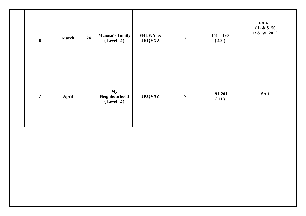| $\boldsymbol{6}$ | <b>March</b> | 24 | <b>Manasa's Family</b><br>$(Level -2)$ | FHLWY &<br><b>JKQVXZ</b> | $\overline{7}$ | $151 - 190$<br>(40) | FA4<br>(L & S 50<br>R & W 201) |
|------------------|--------------|----|----------------------------------------|--------------------------|----------------|---------------------|--------------------------------|
| $\overline{7}$   | <b>April</b> |    | My<br>Neighbourhood<br>$(Level -2)$    | <b>JKQVXZ</b>            | $\overline{7}$ | 191-201<br>(11)     | SA1                            |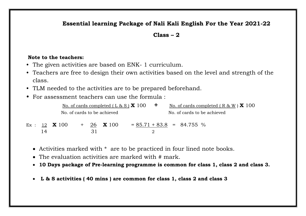## **Essential learning Package of Nali Kali English For the Year 2021-22**

#### **Class – 2**

#### **Note to the teachers:**

- The given activities are based on ENK- 1 curriculum.
- Teachers are free to design their own activities based on the level and strength of the class.
- TLM needed to the activities are to be prepared beforehand.
- For assessment teachers can use the formula :

|    |                        |  |                             | No. of cards completed $(L & S) X 100$ | $\mathbf{+}$ | No. of cards completed $(R & W) \times 100$ |
|----|------------------------|--|-----------------------------|----------------------------------------|--------------|---------------------------------------------|
|    |                        |  | No. of cards to be achieved |                                        |              | No. of cards to be achieved                 |
|    | Ex : $12$ <b>X</b> 100 |  | $+$ 26 <b>X</b> 100         |                                        |              | $= 85.71 + 83.8 = 84.755 %$                 |
| 14 |                        |  |                             |                                        |              |                                             |

- Activities marked with \* are to be practiced in four lined note books.
- The evaluation activities are marked with # mark.
- **10 Days package of Pre-learning programme is common for class 1, class 2 and class 3.**
- **L & S activities ( 40 mins ) are common for class 1, class 2 and class 3**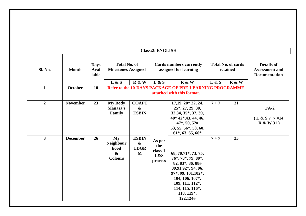|                |                 |                              |                                                                           |                                                       | <b>Class:2: ENGLISH</b>                                                                                                         |                                                                                                                                                                                                |                                       |    |                                                                    |
|----------------|-----------------|------------------------------|---------------------------------------------------------------------------|-------------------------------------------------------|---------------------------------------------------------------------------------------------------------------------------------|------------------------------------------------------------------------------------------------------------------------------------------------------------------------------------------------|---------------------------------------|----|--------------------------------------------------------------------|
| <b>Sl. No.</b> | <b>Month</b>    | <b>Days</b><br>Avai<br>lable | <b>Total No. of</b><br><b>Milestones Assigned</b><br>L & S                | R & W                                                 |                                                                                                                                 | <b>Cards numbers currently</b><br>assigned for learning                                                                                                                                        | <b>Total No. of cards</b><br>retained |    | <b>Details of</b><br><b>Assessment and</b><br><b>Documentation</b> |
| $\mathbf{1}$   | <b>October</b>  | 10                           |                                                                           |                                                       | L & S<br>R & W<br>R & W<br>L & S<br><b>Refer to the 10-DAYS PACKAGE OF PRE-LEARNING PROGRAMME</b><br>attached with this format. |                                                                                                                                                                                                |                                       |    |                                                                    |
| $\overline{2}$ | <b>November</b> | 23                           | <b>My Body</b><br>Manasa's<br>Family                                      | <b>COAPT</b><br>$\boldsymbol{\&}$<br><b>ESBIN</b>     |                                                                                                                                 | $17,19,20*22,24,$<br>$25^*, 27, 29, 30,$<br>32, 34, 35*, 37, 39,<br>40* 42*, 43, 44, 46,<br>47*, 50, 52#<br>53, 55, 56*, 58, 60,<br>$61^*, 63, 65, 66^*$                                       | $7 + 7$                               | 31 | $FA-2$<br>$(L & S 7+7=14)$<br>R & W31                              |
| $\mathbf{3}$   | <b>December</b> | 26                           | Mv<br><b>Neighbour</b><br>hood<br>$\boldsymbol{\alpha}$<br><b>Colours</b> | <b>ESBIN</b><br>$\boldsymbol{\&}$<br><b>UDGR</b><br>M | As per<br>the<br>class-1<br>L&S<br>process                                                                                      | 68, 70, 71*, 73, 75,<br>76*, 78*, 79, 80*,<br>82, 83*, 86, 88#<br>89,91,92*, 94, 96,<br>97*, 99, 101, 102*,<br>104, 106, 107*,<br>109, 111, 112*,<br>114, 115, 116*,<br>118, 119*,<br>122,124# | $7 + 7$                               | 35 |                                                                    |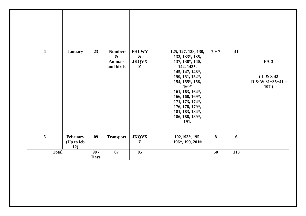| $\overline{\mathbf{4}}$ | <b>January</b>                | 23                    | <b>Numbers</b><br>$\boldsymbol{\&}$<br><b>Animals</b><br>and birds | <b>FHLWY</b><br>$\boldsymbol{\&}$<br><b>JKQVX</b><br>$\mathbf{Z}$ | 125, 127, 128, 130,<br>132, 133*, 135,<br>137, 138*, 140,<br>142, 143*,<br>145, 147, 148*,<br>150, 151, 152*,<br>154, 155*, 158,<br>160#<br>161, 163, 164*,<br>166, 168, 169*,<br>171, 173, 174*,<br>176, 178, 179*,<br>181, 183, 184*,<br>186, 188, 189*,<br><b>191.</b> | $7 + 7$                 | 41  | <b>FA-3</b><br>(L & S 42)<br>$R & W 31+35+41 =$<br>107) |
|-------------------------|-------------------------------|-----------------------|--------------------------------------------------------------------|-------------------------------------------------------------------|---------------------------------------------------------------------------------------------------------------------------------------------------------------------------------------------------------------------------------------------------------------------------|-------------------------|-----|---------------------------------------------------------|
| $\overline{5}$          | February<br>(Up to feb<br>12) | 09                    | <b>Transport</b>                                                   | <b>JKQVX</b><br>$\mathbf{Z}$                                      | 192, 193*, 195,<br>196*, 199, 201#                                                                                                                                                                                                                                        | $\overline{\mathbf{8}}$ | 6   |                                                         |
| <b>Total</b>            |                               | $90 -$<br><b>Days</b> | 07                                                                 | 0 <sub>5</sub>                                                    |                                                                                                                                                                                                                                                                           | 50                      | 113 |                                                         |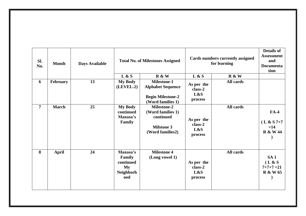| SI.<br>No.     | <b>Month</b> | <b>Days Available</b> | <b>Total No. of Milestones Assigned</b>                          |                                                                                                 | Cards numbers currently assigned<br>for learning |           | <b>Details of</b><br><b>Assessment</b><br>and<br><b>Documenta</b><br>tion |
|----------------|--------------|-----------------------|------------------------------------------------------------------|-------------------------------------------------------------------------------------------------|--------------------------------------------------|-----------|---------------------------------------------------------------------------|
|                |              |                       | L & S                                                            | R & W                                                                                           | L & S                                            | R & W     |                                                                           |
| 6              | February     | 13                    | <b>My Body</b><br>$(LEVEL-2)$                                    | <b>Milestone-1</b><br><b>Alphabet Sequence</b><br><b>Begin Milestone-2</b><br>(Word families 1) | As per the<br>class-2<br>L&S<br>process          | All cards |                                                                           |
| $\overline{7}$ | <b>March</b> | 25                    | <b>My Body</b><br>continued<br>Manasa's<br>Family                | <b>Milestone-2</b><br>(Word families 1)<br>continued<br><b>Milstone 3</b><br>(Word families2)   | As per the<br>class-2<br>L&S<br>process          | All cards | $FA-4$<br>$(L & S 7+7)$<br>$=14$<br><b>R &amp; W 44</b>                   |
| 8              | <b>April</b> | 24                    | Manasa's<br>Family<br>continued<br>My<br><b>Neighborh</b><br>ood | <b>Milestone 4</b><br>(Long vowel 1)                                                            | As per the<br>class-2<br>L&S<br>process          | All cards | SA <sub>1</sub><br>(L & S)<br>$7+7+7=21$<br><b>R &amp; W 65</b>           |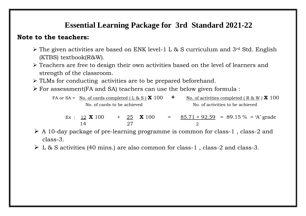## **Essential Learning Package for 3rd Standard 2021-22**

## **Note to the teachers:**

- $\triangleright$  The given activities are based on ENK level-1 L & S curriculum and 3<sup>rd</sup> Std. English (KTBS) textbook(R&W).
- ➢ Teachers are free to design their own activities based on the level of learners and strength of the classroom.
- ➢ TLMs for conducting activities are to be prepared beforehand.
- $\blacktriangleright$  For assessment<br>(FA and SA) teachers can use the below given formula :

FA or SA = No. of cards completed  $(L \& S) \times 100$   $\rightarrow$  No. of activities completed  $(R \& W) \times 100$ No. of cards to be achieved No. of activities to be achieved

Ex :  $\frac{12}{12}$  **X** 100 +  $\frac{25}{100}$  **X** 100 =  $\frac{85.71 + 92.59}{10.0}$  = 89.15 % = 'A' grade 14 27 2

- $\triangleright$  A 10-day package of pre-learning programme is common for class-1, class-2 and class-3.
- ➢ L & S activities (40 mins.) are also common for class-1 , class-2 and class-3.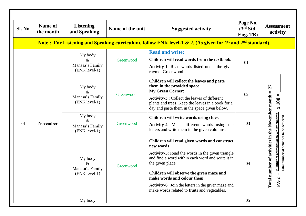| <b>Sl. No.</b> | <b>Name of</b><br>the month                                                                                   | <b>Listening</b><br>and Speaking                    | Name of the unit | <b>Suggested activity</b>                                                                                                                                                                                                                                                                                                                                                      | Page No.<br>(3 <sup>rd</sup> Std.<br>Eng. TB) | <b>Assessment</b><br>activity                                                                                                                                                |  |  |  |
|----------------|---------------------------------------------------------------------------------------------------------------|-----------------------------------------------------|------------------|--------------------------------------------------------------------------------------------------------------------------------------------------------------------------------------------------------------------------------------------------------------------------------------------------------------------------------------------------------------------------------|-----------------------------------------------|------------------------------------------------------------------------------------------------------------------------------------------------------------------------------|--|--|--|
|                | Note: For Listening and Speaking curriculum, follow ENK level-1 & 2. (As given for $1st$ and $2nd$ standard). |                                                     |                  |                                                                                                                                                                                                                                                                                                                                                                                |                                               |                                                                                                                                                                              |  |  |  |
|                |                                                                                                               | My body<br>$\&$<br>Manasa's Family<br>(ENK level-1) | Greenwood        | <b>Read and write:</b><br>Children will read words from the textbook.<br>Activity-1: Read words listed under the given<br>rhyme- Greenwood.                                                                                                                                                                                                                                    | 01                                            |                                                                                                                                                                              |  |  |  |
|                |                                                                                                               | My body<br>&<br>Manasa's Family<br>(ENK level-1)    | Greenwood        | Children will collect the leaves and paste<br>them in the provided space.<br><b>My Green Corner:</b><br><b>Activity-3</b> : Collect the leaves of different<br>plants and trees. Keep the leaves in a book for a<br>day and paste them in the space given below.                                                                                                               | 02                                            | $\overline{27}$<br>$\times 100$                                                                                                                                              |  |  |  |
| 01             | <b>November</b>                                                                                               | My body<br>$\&$<br>Manasa's Family<br>(ENK level-1) | Greenwood        | Children will write words using clues.<br>Activity-4: Make different words using the<br>letters and write them in the given columns.                                                                                                                                                                                                                                           | 03                                            |                                                                                                                                                                              |  |  |  |
|                |                                                                                                               | My body<br>&.<br>Manasa's Family<br>(ENK level-1)   | Greenwood        | Children will read given words and construct<br>new words<br><b>Activity-5:</b> Read the words in the given triangle<br>and find a word within each word and write it in<br>the given place.<br>Children will observe the given maze and<br>make words and colour them.<br>Activity-6 : Join the letters in the given maze and<br>make words related to fruits and vegetables. | 04                                            | number of activities in the November month =<br>Number of activities achieved by children<br>Total number of activities to be achieved<br>$\mathbf{II}$<br>Total 1<br>$FA-2$ |  |  |  |
|                |                                                                                                               | My body                                             |                  |                                                                                                                                                                                                                                                                                                                                                                                | 05                                            |                                                                                                                                                                              |  |  |  |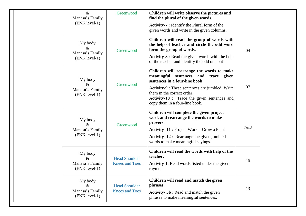| $\&$<br>Manasa's Family<br>(ENK level-1)            | Greenwood                                     | Children will write observe the pictures and<br>find the plural of the given words.<br><b>Activity-7</b> : Identify the Plural form of the<br>given words and write in the given columns.                                                                                                   |     |
|-----------------------------------------------------|-----------------------------------------------|---------------------------------------------------------------------------------------------------------------------------------------------------------------------------------------------------------------------------------------------------------------------------------------------|-----|
| My body<br>&<br>Manasa's Family<br>(ENK level-1)    | Greenwood                                     | Children will read the group of words with<br>the help of teacher and circle the odd word<br>form the group of words.<br><b>Activity-8</b> : Read the given words with the help<br>of the teacher and identify the odd one out                                                              | 04  |
| My body<br>&<br>Manasa's Family<br>(ENK level-1)    | Greenwood                                     | Children will rearrange the words to make<br>meaningful sentences and trace given<br>sentences in a four-line book<br>Activity-9 : These sentences are jumbled. Write<br>them in the correct order.<br><b>Activity-10</b> : Trace the given sentences and<br>copy them in a four-line book. | 07  |
| My body<br>$\&$<br>Manasa's Family<br>(ENK level-1) | Greenwood                                     | Children will complete the given project<br>work and rearrange the words to make<br>provers.<br><b>Activity-11: Project Work - Grow a Plant</b><br><b>Activity-12:</b> Rearrange the given jumbled<br>words to make meaningful sayings.                                                     | 7&8 |
| My body<br>$\&$<br>Manasa's Family<br>(ENK level-1) | <b>Head Shoulder</b><br><b>Knees and Toes</b> | Children will read the words with help of the<br>teacher.<br><b>Activity-1:</b> Read words listed under the given<br>rhyme                                                                                                                                                                  | 10  |
| My body<br>$\&$<br>Manasa's Family<br>(ENK level-1) | <b>Head Shoulder</b><br><b>Knees and Toes</b> | Children will read and match the given<br>phrases.<br><b>Activity-3b</b> : Read and match the given<br>phrases to make meaningful sentences.                                                                                                                                                | 13  |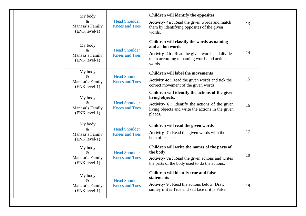| My body<br>$\&$<br>Manasa's Family<br>(ENK level-1) | <b>Head Shoulder</b><br><b>Knees and Toes</b> | Children will identify the opposites<br>Activity-4a : Read the given words and match<br>them by identifying opposites of the given<br>words.                                                   | 13 |  |
|-----------------------------------------------------|-----------------------------------------------|------------------------------------------------------------------------------------------------------------------------------------------------------------------------------------------------|----|--|
| My body<br>$\&$<br>Manasa's Family<br>(ENK level-1) | <b>Head Shoulder</b><br><b>Knees and Toes</b> | Children will classify the words as naming<br>and action words<br><b>Activity-4b</b> : Read the given words and divide<br>them according to naming words and action<br>words.                  | 14 |  |
| My body<br>$\&$<br>Manasa's Family<br>(ENK level-1) | <b>Head Shoulder</b><br><b>Knees and Toes</b> | <b>Children will label the movements</b><br>Activity 4c : Read the given words and tick the<br>correct movement of the given words.                                                            | 15 |  |
| My body<br>$\&$<br>Manasa's Family<br>(ENK level-1) | <b>Head Shoulder</b><br><b>Knees and Toes</b> | Children will identify the actions of the given<br>living objects.<br><b>Activity-</b> $6$ : Identify the actions of the given<br>living objects and write the actions in the given<br>places. | 16 |  |
| My body<br>$\&$<br>Manasa's Family<br>(ENK level-1) | <b>Head Shoulder</b><br><b>Knees and Toes</b> | Children will read the given words<br><b>Activity-7</b> : Read the given words with the<br>help of teacher                                                                                     | 17 |  |
| My body<br>$\&$<br>Manasa's Family<br>(ENK level-1) | <b>Head Shoulder</b><br><b>Knees and Toes</b> | Children will write the names of the parts of<br>the body<br>Activity-8a : Read the given actions and writes<br>the parts of the body used to do the actions.                                  | 18 |  |
| My body<br>$\&$<br>Manasa's Family<br>(ENK level-1) | <b>Head Shoulder</b><br><b>Knees and Toes</b> | Children will identify true and false<br>statements<br><b>Activity-9: Read the actions below. Draw</b><br>smiley if it is True and sad face if it is False                                     | 19 |  |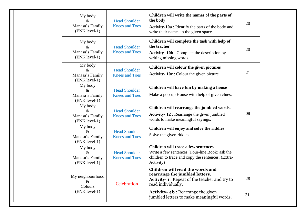| My body<br>&<br>Manasa's Family<br>(ENK level-1)    | <b>Head Shoulder</b><br><b>Knees and Toes</b> | Children will write the names of the parts of<br>the body<br><b>Activity-10a</b> : Identify the parts of the body and<br>write their names in the given space. | 20 |  |
|-----------------------------------------------------|-----------------------------------------------|----------------------------------------------------------------------------------------------------------------------------------------------------------------|----|--|
| My body<br>$\&$<br>Manasa's Family<br>(ENK level-1) | <b>Head Shoulder</b><br><b>Knees and Toes</b> | Children will complete the task with help of<br>the teacher<br><b>Activity-10b</b> : Complete the description by<br>writing missing words.                     | 20 |  |
| My body<br>$\&$<br>Manasa's Family<br>(ENK level-1) | <b>Head Shoulder</b><br><b>Knees and Toes</b> | Children will colour the given pictures<br>Activity-10c : Colour the given picture                                                                             | 21 |  |
| My body<br>&<br>Manasa's Family<br>(ENK level-1)    | <b>Head Shoulder</b><br><b>Knees and Toes</b> | Children will have fun by making a house<br>Make a pop-up House with help of given clues.                                                                      |    |  |
| My body<br>$\&$<br>Manasa's Family<br>(ENK level-1) | <b>Head Shoulder</b><br><b>Knees and Toes</b> | Children will rearrange the jumbled words.<br><b>Activity-12:</b> Rearrange the given jumbled<br>words to make meaningful sayings.                             | 08 |  |
| My body<br>$\&$<br>Manasa's Family<br>(ENK level-1) | <b>Head Shoulder</b><br><b>Knees and Toes</b> | Children will enjoy and solve the riddles<br>Solve the given riddles                                                                                           |    |  |
| My body<br>$\&$<br>Manasa's Family<br>(ENK level-1) | <b>Head Shoulder</b><br><b>Knees and Toes</b> | Children will trace a few sentences<br>Write a few sentences (Four-line Book) ask the<br>children to trace and copy the sentences. (Extra-<br>Activity)        |    |  |
| My neighbourhood<br>$\&$<br>Colours                 | Celebration                                   | Children will read the words and<br>rearrange the jumbled letters.<br><b>Activity-1:</b> Repeat of the teacher and try to<br>read individually.                | 28 |  |
| (ENK level-1)                                       |                                               | <b>Activity-4b</b> : Rearrange the given<br>jumbled letters to make meaningful words.                                                                          | 31 |  |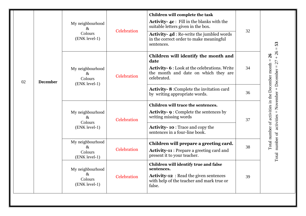|    |                 | My neighbourhood<br>$\&$<br>Colours<br>(ENK level-1) | Celebration | Children will complete the task<br><b>Activity-4c</b> : Fill in the blanks with the<br>suitable letters given in the box.<br><b>Activity-4d:</b> Re-write the jumbled words<br>in the correct order to make meaningful<br>sentences. | 32 | 53<br>$\mathbf{H}$                                                                                     |
|----|-----------------|------------------------------------------------------|-------------|--------------------------------------------------------------------------------------------------------------------------------------------------------------------------------------------------------------------------------------|----|--------------------------------------------------------------------------------------------------------|
| 02 | <b>December</b> | My neighbourhood<br>$\&$<br>Colours<br>(ENK level-1) | Celebration | Children will identify the month and<br>date<br><b>Activity-6:</b> Look at the celebrations. Write<br>the month and date on which they are<br>celebrated.                                                                            | 34 | $+26$<br>$\overline{26}$<br>$\vert\vert$<br>27                                                         |
|    |                 |                                                      |             | <b>Activity-8:</b> Complete the invitation card<br>by writing appropriate words.                                                                                                                                                     | 36 |                                                                                                        |
|    |                 | My neighbourhood<br>$\&$<br>Colours<br>(ENK level-1) | Celebration | Children will trace the sentences.<br><b>Activity-9: Complete the sentences by</b><br>writing missing words<br><b>Activity-10:</b> Trace and copy the<br>sentences in a four-line book.                                              | 37 | Total number of activities in the December month<br>Total number of activities = November + December = |
|    |                 | My neighbourhood<br>$\&$<br>Colours<br>(ENK level-1) | Celebration | Children will prepare a greeting card.<br><b>Activity-11:</b> Prepare a greeting card and<br>present it to your teacher.                                                                                                             | 38 |                                                                                                        |
|    |                 | My neighbourhood<br>$\&$<br>Colours<br>(ENK level-1) | Celebration | Children will identify true and false<br>sentences.<br><b>Activity-12</b> : Read the given sentences<br>with help of the teacher and mark true or<br>false.                                                                          | 39 |                                                                                                        |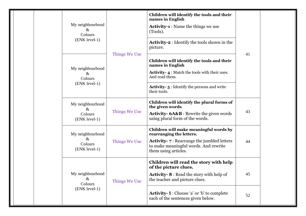|  | My neighbourhood<br>$\&$<br>Colours<br>(ENK level-1) |               | Children will identify the tools and their<br>names in English<br><b>Activity-1</b> : Name the things we use<br>(Tools).<br><b>Activity-2</b> : Identify the tools shown in the<br>picture.                  | 41 |  |
|--|------------------------------------------------------|---------------|--------------------------------------------------------------------------------------------------------------------------------------------------------------------------------------------------------------|----|--|
|  | My neighbourhood<br>$\&$<br>Colours<br>(ENK level-1) | Things We Use | Children will identify the tools and their<br>names in English<br><b>Activity-4:</b> Match the tools with their uses.<br>And read them.<br><b>Activity-5:</b> Identify the persons and write<br>their tools. |    |  |
|  | My neighbourhood<br>$\&$<br>Colours<br>(ENK level-1) | Things We Use | Children will identify the plural forms of<br>the given words<br><b>Activity-6A&amp;B</b> : Rewrite the given words<br>using plural form of the words.                                                       | 43 |  |
|  | My neighbourhood<br>$\&$<br>Colours<br>(ENK level-1) | Things We Use | Children will make meaningful words by<br>rearranging the letters.<br><b>Activity-</b> 7 : Rearrange the jumbled letters<br>to make meaningful words. And rewrite<br>them using articles.                    | 44 |  |
|  | My neighbourhood<br>Xz.<br>Colours<br>(ENK level-1)  | Things We Use | Children will read the story with help<br>of the picture clues.<br><b>Activity-8:</b> Read the story with help of<br>the teacher and picture clues.                                                          | 45 |  |
|  |                                                      |               | <b>Activity- I:</b> Choose 'a' or 'b' to complete<br>each of the sentences given below.                                                                                                                      | 52 |  |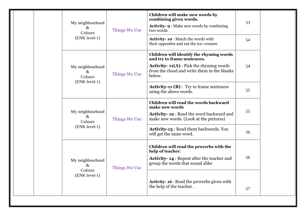|  | My neighbourhood<br>&<br>Colours                     | Things We Use | Children will make new words by<br>combining given words.<br><b>Activity-9:</b> Make new words by combining<br>two words.                                                          | 53 |
|--|------------------------------------------------------|---------------|------------------------------------------------------------------------------------------------------------------------------------------------------------------------------------|----|
|  | (ENK level-1)                                        |               | <b>Activity-10:</b> Match the words with<br>their opposites and eat the ice-creams.                                                                                                | 54 |
|  | My neighbourhood<br>$\&$<br>Colours<br>(ENK level-1) | Things We Use | Children will identify the rhyming words<br>and try to frame sentences.<br><b>Activity-11(A)</b> : Pick the rhyming words<br>from the cloud and write them in the blanks<br>below. | 54 |
|  |                                                      |               | <b>Activity-11 (B)</b> : Try to frame sentences<br>using the above words.                                                                                                          | 55 |
|  | My neighbourhood<br>$\&$<br>Colours<br>(ENK level-1) | Things We Use | Children will read the words backward<br>make new words<br>Activity-12 : Read the word backward and<br>make new words. (Look at the pictures)                                      | 55 |
|  |                                                      |               | <b>Activity-13: Read them backwards. You</b><br>will get the same word.                                                                                                            | 56 |
|  | My neighbourhood<br>$\&$<br>Colours<br>(ENK level-1) | Things We Use | Children will read the proverbs with the<br>help of teacher.<br><b>Activity-14: Repeat after the teacher and</b><br>group the words that sound alike                               | 56 |
|  |                                                      |               | <b>Activity-16:</b> Read the proverbs given with<br>the help of the teacher.                                                                                                       | 57 |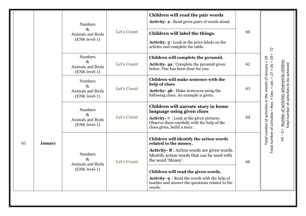|    |                | <b>Numbers</b><br>&<br><b>Animals and Birds</b><br>(ENK level-1)    | Let's Count | Children will read the pair words<br><b>Activity-2:</b> Read given pairs of words aloud.<br>Children will label the things.<br><b>Activity-3:</b> Look at the price labels on the<br>articles and complete the table.                                                                                                                               | 60 |                                                                                                                                                                                                                               |
|----|----------------|---------------------------------------------------------------------|-------------|-----------------------------------------------------------------------------------------------------------------------------------------------------------------------------------------------------------------------------------------------------------------------------------------------------------------------------------------------------|----|-------------------------------------------------------------------------------------------------------------------------------------------------------------------------------------------------------------------------------|
|    |                | <b>Numbers</b><br>$\&$<br>Animals and Birds<br>(ENK level-1)        | Let's Count | Children will complete the pyramid.<br><b>Activity-4a:</b> Complete the pyramid given<br>below. One has been done for you.                                                                                                                                                                                                                          | 62 | $\overline{72}$<br>$\overline{c}$<br>$\mathbf H$                                                                                                                                                                              |
|    |                | <b>Numbers</b><br>$\&$<br>Animals and Birds<br>(ENK level-1)        | Let's Count | Children will make sentence with the<br>help of clues<br><b>Activity-4b</b> : Make sentences using the<br>following clues. An example is given.                                                                                                                                                                                                     | 63 |                                                                                                                                                                                                                               |
|    |                | <b>Numbers</b><br>$\&$<br><b>Animals and Birds</b><br>(ENK level-1) | Let's Count | Children will narrate story in home<br>language using given clues<br><b>Activity-7</b> : Look at the given pictures.<br>Observe them carefully with the help of the<br>clues given, build a story.                                                                                                                                                  | 64 | Total number of activities = Nov. + Dec. + Jan. = 27 + 26 + 19<br>Number of activities achieved by children<br>Total number of activities to be achieved<br>Total number of activities in the month of January<br>$\mathbf H$ |
| 03 | <b>January</b> | <b>Numbers</b><br>&<br>Animals and Birds<br>(ENK level-1)           | Let's Count | Children will identify the action words<br>related to the money.<br><b>Activity-8</b> : Action words are given words.<br>Identify action words that can be used with<br>the word 'Money'.<br>Children will read the given words.<br><b>Activity-9: Read the words with the help of</b><br>teacher and answer the questions related to the<br>words. | 66 | $\overline{1}$<br>É                                                                                                                                                                                                           |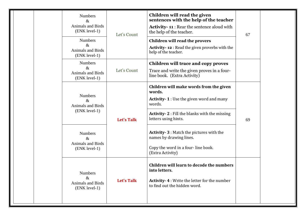| <b>Numbers</b><br>$\&$<br><b>Animals and Birds</b><br>(ENK level-1)<br><b>Numbers</b><br>$\&$<br>Animals and Birds<br>(ENK level-1) | Let's Count       | Children will read the given<br>sentences with the help of the teacher<br><b>Activity-11:</b> Rear the sentence aloud with<br>the help of the teacher.<br>Children will read the provers<br>Activity-12 : Read the given proverbs with the<br>help of the teacher. | 67 |  |
|-------------------------------------------------------------------------------------------------------------------------------------|-------------------|--------------------------------------------------------------------------------------------------------------------------------------------------------------------------------------------------------------------------------------------------------------------|----|--|
| <b>Numbers</b><br>$\&$<br><b>Animals and Birds</b><br>(ENK level-1)                                                                 | Let's Count       | Children will trace and copy proves<br>Trace and write the given proves in a four-<br>line book. (Extra Activity)                                                                                                                                                  |    |  |
| <b>Numbers</b><br>$\&$<br><b>Animals and Birds</b><br>(ENK level-1)                                                                 | <b>Let's Talk</b> | Children will make words from the given<br>words.<br><b>Activity-1</b> : Use the given word and many<br>words.<br><b>Activity-2</b> : Fill the blanks with the missing<br>letters using hints.                                                                     | 69 |  |
| <b>Numbers</b><br>$\&$<br><b>Animals and Birds</b><br>(ENK level-1)                                                                 |                   | <b>Activity-3: Match the pictures with the</b><br>names by drawing lines.<br>Copy the word in a four-line book.<br>(Extra Activity)                                                                                                                                |    |  |
| <b>Numbers</b><br>$\&$<br>Let's Talk<br>Animals and Birds<br>(ENK level-1)                                                          |                   | Children will learn to decode the numbers<br>into letters.<br><b>Activity-4: Write the letter for the number</b><br>to find out the hidden word.                                                                                                                   |    |  |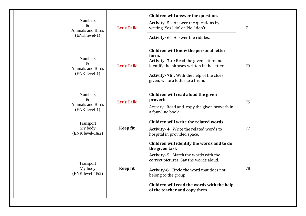|  | <b>Numbers</b><br>$\&$<br>Animals and Birds<br>(ENK level-1)     | <b>Let's Talk</b> | Children will answer the question.<br><b>Activity-5: Answer the questions by</b><br>writing 'Yes I do' or 'No I don't'<br>Activity- 6 : Answer the riddles.                                                                                                                                                       | 71 |  |
|--|------------------------------------------------------------------|-------------------|-------------------------------------------------------------------------------------------------------------------------------------------------------------------------------------------------------------------------------------------------------------------------------------------------------------------|----|--|
|  | <b>Numbers</b><br>&<br><b>Animals and Birds</b><br>(ENK level-1) | Let's Talk        | Children will know the personal letter<br>form.<br>Activity-7a: Read the given letter and<br>identify the phrases written in the letter.<br><b>Activity-7b</b> : With the help of the clues<br>given, write a letter to a friend.                                                                                 | 73 |  |
|  | <b>Numbers</b><br>$\&$<br>Animals and Birds<br>(ENK level-1)     | <b>Let's Talk</b> | Children will read aloud the given<br>proverb.<br>Activity: Read and copy the given proverb in<br>a four-line book.                                                                                                                                                                                               | 75 |  |
|  | Transport<br>My body<br>$(ENK level-1&2)$                        | <b>Keep fit</b>   | Children will write the related words<br>Activity-4: Write the related words to<br>hospital in provided space.                                                                                                                                                                                                    | 77 |  |
|  | Transport<br>My body<br>$(ENK level-1&2)$                        | <b>Keep fit</b>   | Children will identify the words and to do<br>the given task<br><b>Activity-5: Match the words with the</b><br>correct pictures. Say the words aloud.<br><b>Activity-6</b> : Circle the word that does not<br>belong to the group.<br>Children will read the words with the help<br>of the teacher and copy them. | 78 |  |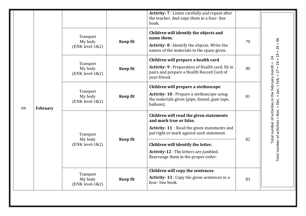|  |                |                                           |                 | Activity- 7 : Listen carefully and repeat after<br>the teacher. And copy them in a four-line<br>book.                                                                                                                                                                                 |                                                                                                         |                       |
|--|----------------|-------------------------------------------|-----------------|---------------------------------------------------------------------------------------------------------------------------------------------------------------------------------------------------------------------------------------------------------------------------------------|---------------------------------------------------------------------------------------------------------|-----------------------|
|  |                | Transport<br>My body<br>$(ENK level-1&2)$ | <b>Keep fit</b> | Children will identify the objects and<br>name them.<br>Activity-8 : Identify the objects. Write the<br>names of the materials in the space given.                                                                                                                                    | 79                                                                                                      | 96<br>$\mathbf H$     |
|  | 04<br>February | Transport<br>My body<br>$(ENK level-1&2)$ | <b>Keep fit</b> | Children will prepare a health card<br>Activity- 9 : Preparation of Health card. Sit in<br>pairs and prepare a Health Record Card of<br>your friend.                                                                                                                                  | 80                                                                                                      | $= 27 + 26 + 19 + 24$ |
|  |                | Transport<br>My body<br>$(ENK level-1&2)$ | <b>Keep fit</b> | Children will prepare a stethoscope<br>Activity-10 : Prepare a stethoscope using<br>the materials given (pipe, funnel, gum tape,<br>balloon).                                                                                                                                         | 81                                                                                                      | $+$ Jan. $+$ Feb.     |
|  |                | Transport<br>My body<br>$(ENK level-1&2)$ | <b>Keep fit</b> | Children will read the given statements<br>and mark true or false.<br>Activity-11 : Read the given statements and<br>put right or mark against each statement.<br>Children will identify the letter.<br>Activity-12 : The letters are jumbled.<br>Rearrange them in the proper order. | Total number of activities in the February month = 24<br>Total number of activities = Nov. + Dec.<br>82 |                       |
|  |                | Transport<br>My body<br>$(ENK level-1&2)$ | <b>Keep fit</b> | Children will copy the sentences<br>Activity-13 : Copy the given sentences in a<br>four-line book.                                                                                                                                                                                    | 83                                                                                                      |                       |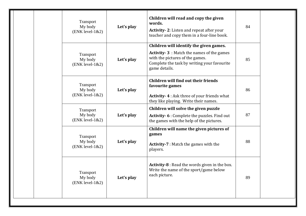| Transport<br>My body<br>$(ENK level-1&2)$ | Let's play | Children will read and copy the given<br>words.<br><b>Activity-2:</b> Listen and repeat after your<br>teacher and copy them in a four-line book.                                               | 84 |  |
|-------------------------------------------|------------|------------------------------------------------------------------------------------------------------------------------------------------------------------------------------------------------|----|--|
| Transport<br>My body<br>$(ENK level-1&2)$ | Let's play | Children will identify the given games.<br><b>Activity-3</b> : Match the names of the games<br>with the pictures of the games.<br>Complete the task by writing your favourite<br>game details. | 85 |  |
| Transport<br>My body<br>$(ENK level-1&2)$ | Let's play | <b>Children will find out their friends</b><br>favourite games<br>Activity-4: Ask three of your friends what<br>they like playing. Write their names.                                          | 86 |  |
| Transport<br>My body<br>$(ENK level-1&2)$ | Let's play | Children will solve the given puzzle<br>Activity- 6 : Complete the puzzles. Find out<br>the games with the help of the pictures.                                                               | 87 |  |
| Transport<br>My body<br>$(ENK level-1&2)$ | Let's play | Children will name the given pictures of<br>games<br><b>Activity-7</b> : Match the games with the<br>players.                                                                                  | 88 |  |
| Transport<br>My body<br>$(ENK level-1&2)$ | Let's play | Activity-8 : Read the words given in the box.<br>Write the name of the sport/game below<br>each picture.                                                                                       | 89 |  |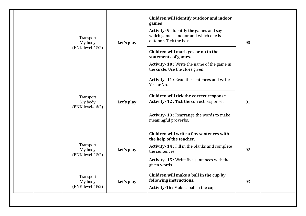|  | Transport<br>My body<br>$(ENK level-1&2)$ | Let's play | Children will identify outdoor and indoor<br>games<br>Activity-9 : Identify the games and say<br>which game is indoor and which one is<br>outdoor. Tick the box.<br>Children will mark yes or no to the<br>statements of games.<br>Activity-10: Write the name of the game in<br>the circle. Use the clues given. | 90 |  |
|--|-------------------------------------------|------------|-------------------------------------------------------------------------------------------------------------------------------------------------------------------------------------------------------------------------------------------------------------------------------------------------------------------|----|--|
|  | Transport<br>My body<br>$(ENK level-1&2)$ | Let's play | Activity-11: Read the sentences and write<br>Yes or No.<br>Children will tick the correct response<br>Activity-12: Tick the correct response.<br>Activity-13 : Rearrange the words to make<br>meaningful proverbs.                                                                                                | 91 |  |
|  | Transport<br>My body<br>$(ENK level-1&2)$ | Let's play | Children will write a few sentences with<br>the help of the teacher.<br>Activity-14: Fill in the blanks and complete<br>the sentences.<br>Activity-15: Write five sentences with the<br>given words.                                                                                                              | 92 |  |
|  | Transport<br>My body<br>$(ENK level-1&2)$ | Let's play | Children will make a ball in the cup by<br>following instructions.<br><b>Activity-16</b> : Make a ball in the cup.                                                                                                                                                                                                | 93 |  |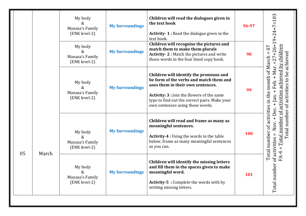|    |       | My body<br>&<br>Manasa's Family<br>(ENK level-2)<br>My body<br>&<br>Manasa's Family<br>(ENK level-2) | <b>My Surroundings</b><br><b>My Surroundings</b> | Children will read the dialogues given in<br>the text book<br><b>Activity-1:</b> Read the dialogue given in the<br>text book.<br>Children will recognise the pictures and<br>match them to make them plurals<br>Activity-2: Match the pictures and write<br>those words in the four lined copy book. | 96-97<br>98 | Nov. + Dec. + Jan. + Feb. + Mar. =27+26+19+24+7=103<br>achieved by children                          |
|----|-------|------------------------------------------------------------------------------------------------------|--------------------------------------------------|------------------------------------------------------------------------------------------------------------------------------------------------------------------------------------------------------------------------------------------------------------------------------------------------------|-------------|------------------------------------------------------------------------------------------------------|
|    |       | My body<br>&.<br>Manasa's Family<br>(ENK level-2)                                                    | <b>My Surroundings</b>                           | Children will identify the pronouns and<br>be form of the verbs and match them and<br>uses them in their own sentences.<br>Activity: 3 : Join the flowers of the same<br>type to find out the correct pairs. Make your<br>own sentences using those words.                                           | 99          | Total number of activities in the month of March $= 07$<br>Total number of activities to be achieved |
| 05 | March | My body<br>&<br>Manasa's Family<br>(ENK level-2)                                                     | <b>My Surroundings</b>                           | Children will read and frame as many as<br>meaningful sentences.<br>Activity-4 : Using the words in the table<br>below, frame as many meaningful sentences<br>as you can.                                                                                                                            | 100         | FA-4 = Total number of activities                                                                    |
|    |       | My body<br>&<br>Manasa's Family<br>(ENK level-2)                                                     | <b>My Surroundings</b>                           | Children will identify the missing letters<br>and fill them in the spaces given to make<br>meaningful word.<br><b>Activity-5: Complete the words with by</b><br>writing missing letters.                                                                                                             | 101         | Total number of activities $=$                                                                       |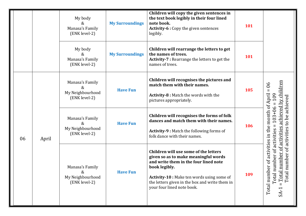|    |       | My body<br>&<br>Manasa's Family<br>(ENK level-2)          | <b>My Surroundings</b> | Children will copy the given sentences in<br>the text book legibly in their four lined<br>note book.<br>Activity-6 : Copy the given sentences<br>legibly.                                                                                                             | 101 |                                                                                                                                    |
|----|-------|-----------------------------------------------------------|------------------------|-----------------------------------------------------------------------------------------------------------------------------------------------------------------------------------------------------------------------------------------------------------------------|-----|------------------------------------------------------------------------------------------------------------------------------------|
|    |       | My body<br>&<br>Manasa's Family<br>(ENK level-2)          | <b>My Surroundings</b> | Children will rearrange the letters to get<br>the names of trees.<br>Activity-7 : Rearrange the letters to get the<br>names of trees.                                                                                                                                 | 101 |                                                                                                                                    |
|    |       | Manasa's Family<br>&<br>My Neighbourhood<br>(ENK level-2) | <b>Have Fun</b>        | Children will recognises the pictures and<br>match them with their names.<br>Activity-8 : Match the words with the<br>pictures appropriately.                                                                                                                         | 105 | by children<br>66<br>109<br>achieved                                                                                               |
| 06 | April | Manasa's Family<br>&<br>My Neighbourhood<br>(ENK level-2) | <b>Have Fun</b>        | Children will recognises the forms of folk<br>dances and match them with their names.<br><b>Activity-9: Match the following forms of</b><br>folk dance with their names.                                                                                              | 106 | number of activities achieved<br>$103 + 06$<br>activities to be<br>$\mathbf{H}$                                                    |
|    |       | Manasa's Family<br>&<br>My Neighbourhood<br>(ENK level-2) | <b>Have Fun</b>        | Children will use some of the letters<br>given so as to make meaningful words<br>and write them in the four lined note<br>book legibly.<br>Activity-10 : Make ten words using some of<br>the letters given in the box and write them in<br>your four lined note book. | 109 | Total number of activities in the month of April<br>number of activities<br>number of<br>Total<br>Total<br>Total<br>S <sub>A</sub> |